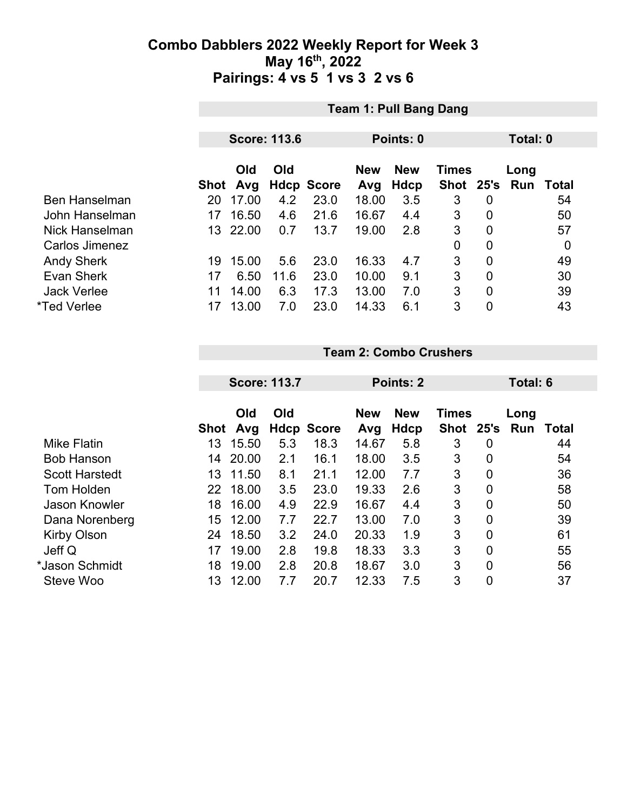|                      |      | <b>Team 1: Pull Bang Dang</b> |      |                   |            |            |              |                |      |       |  |  |
|----------------------|------|-------------------------------|------|-------------------|------------|------------|--------------|----------------|------|-------|--|--|
|                      |      | <b>Score: 113.6</b>           |      |                   |            | Points: 0  |              | Total: 0       |      |       |  |  |
|                      |      | Old<br>Old                    |      |                   | <b>New</b> | <b>New</b> | <b>Times</b> |                | Long |       |  |  |
|                      | Shot | Avg                           |      | <b>Hdcp Score</b> | Avg        | Hdcp       | <b>Shot</b>  | 25's           | Run  | Total |  |  |
| <b>Ben Hanselman</b> | 20   | 17.00                         | 4.2  | 23.0              | 18.00      | 3.5        | 3            | 0              |      | 54    |  |  |
| John Hanselman       | 17   | 16.50                         | 4.6  | 21.6              | 16.67      | 4.4        | 3            | $\mathbf 0$    |      | 50    |  |  |
| Nick Hanselman       | 13   | 22.00                         | 0.7  | 13.7              | 19.00      | 2.8        | 3            | $\overline{0}$ |      | 57    |  |  |
| Carlos Jimenez       |      |                               |      |                   |            |            | 0            | $\overline{0}$ |      | 0     |  |  |
| <b>Andy Sherk</b>    | 19   | 15.00                         | 5.6  | 23.0              | 16.33      | 4.7        | 3            | $\overline{0}$ |      | 49    |  |  |
| <b>Evan Sherk</b>    | 17   | 6.50                          | 11.6 | 23.0              | 10.00      | 9.1        | 3            | $\overline{0}$ |      | 30    |  |  |
| <b>Jack Verlee</b>   | 11   | 14.00                         | 6.3  | 17.3              | 13.00      | 7.0        | 3            | $\overline{0}$ |      | 39    |  |  |
| *Ted Verlee          | 17   | 13.00                         | 7.0  | 23.0              | 14.33      | 6.1        | 3            | $\overline{0}$ |      | 43    |  |  |

|  |  |  | <b>Team 2: Combo Crushers</b> |
|--|--|--|-------------------------------|
|--|--|--|-------------------------------|

|                       |      | <b>Score: 113.7</b> |     |                   |            | Points: 2  |             | Total: 6 |     |       |
|-----------------------|------|---------------------|-----|-------------------|------------|------------|-------------|----------|-----|-------|
|                       |      | Old<br>Old          |     |                   | <b>New</b> | <b>New</b> | Long        |          |     |       |
|                       | Shot | Avg                 |     | <b>Hdcp Score</b> | Avg        | Hdcp       | <b>Shot</b> | 25's     | Run | Total |
| <b>Mike Flatin</b>    | 13   | 15.50               | 5.3 | 18.3              | 14.67      | 5.8        | 3           | 0        |     | 44    |
| <b>Bob Hanson</b>     | 14   | 20.00               | 2.1 | 16.1              | 18.00      | 3.5        | 3           | 0        |     | 54    |
| <b>Scott Harstedt</b> | 13   | 11.50               | 8.1 | 21.1              | 12.00      | 7.7        | 3           | 0        |     | 36    |
| <b>Tom Holden</b>     | 22   | 18.00               | 3.5 | 23.0              | 19.33      | 2.6        | 3           | 0        |     | 58    |
| <b>Jason Knowler</b>  | 18   | 16.00               | 4.9 | 22.9              | 16.67      | 4.4        | 3           | 0        |     | 50    |
| Dana Norenberg        | 15   | 12.00               | 7.7 | 22.7              | 13.00      | 7.0        | 3           | 0        |     | 39    |
| <b>Kirby Olson</b>    | 24   | 18.50               | 3.2 | 24.0              | 20.33      | 1.9        | 3           | 0        |     | 61    |
| Jeff Q                | 17   | 19.00               | 2.8 | 19.8              | 18.33      | 3.3        | 3           | 0        |     | 55    |
| *Jason Schmidt        | 18   | 19.00               | 2.8 | 20.8              | 18.67      | 3.0        | 3           | 0        |     | 56    |
| Steve Woo             | 13   | 12.00               | 7.7 | 20.7              | 12.33      | 7.5        | 3           | 0        |     | 37    |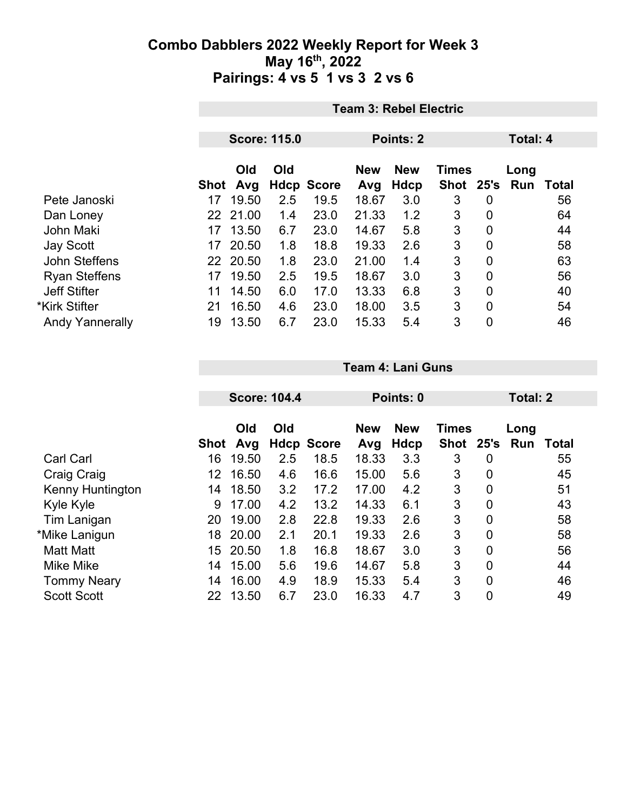|                        |    | <b>Team 3: Rebel Electric</b> |                     |                           |              |                  |                    |             |          |             |  |  |
|------------------------|----|-------------------------------|---------------------|---------------------------|--------------|------------------|--------------------|-------------|----------|-------------|--|--|
|                        |    |                               | <b>Score: 115.0</b> |                           |              | <b>Points: 2</b> |                    |             | Total: 4 |             |  |  |
|                        |    |                               |                     |                           |              |                  |                    |             |          |             |  |  |
|                        |    | Old                           | Old                 |                           | <b>New</b>   | <b>New</b>       | <b>Times</b>       |             | Long     |             |  |  |
| Pete Janoski           | 17 | Shot Avg<br>19.50             | 2.5                 | <b>Hdcp Score</b><br>19.5 | Avg<br>18.67 | Hdcp<br>3.0      | Shot 25's Run<br>3 | 0           |          | Total<br>56 |  |  |
| Dan Loney              |    | 22 21.00                      | 1.4                 | 23.0                      | 21.33        | 1.2              | 3                  | 0           |          | 64          |  |  |
| John Maki              | 17 | 13.50                         | 6.7                 | 23.0                      | 14.67        | 5.8              | 3                  | 0           |          | 44          |  |  |
| <b>Jay Scott</b>       | 17 | 20.50                         | 1.8                 | 18.8                      | 19.33        | 2.6              | 3                  | $\mathbf 0$ |          | 58          |  |  |
| John Steffens          |    | 22 20.50                      | 1.8                 | 23.0                      | 21.00        | 1.4              | 3                  | $\mathbf 0$ |          | 63          |  |  |
| <b>Ryan Steffens</b>   | 17 | 19.50                         | 2.5                 | 19.5                      | 18.67        | 3.0              | 3                  | 0           |          | 56          |  |  |
| <b>Jeff Stifter</b>    | 11 | 14.50                         | 6.0                 | 17.0                      | 13.33        | 6.8              | 3                  | $\mathbf 0$ |          | 40          |  |  |
| *Kirk Stifter          | 21 | 16.50                         | 4.6                 | 23.0                      | 18.00        | 3.5              | 3                  | 0           |          | 54          |  |  |
| <b>Andy Yannerally</b> | 19 | 13.50                         | 6.7                 | 23.0                      | 15.33        | 5.4              | 3                  | 0           |          | 46          |  |  |

|                         |      |            | <b>Score: 104.4</b> |                   |                   | Points: 0                 |                           |   | <b>Total: 2</b> |       |  |
|-------------------------|------|------------|---------------------|-------------------|-------------------|---------------------------|---------------------------|---|-----------------|-------|--|
|                         | Shot | Old<br>Avg | Old                 | <b>Hdcp Score</b> | <b>New</b><br>Avg | <b>New</b><br><b>Hdcp</b> | <b>Times</b><br>Shot 25's |   | Long<br>Run     | Total |  |
| <b>Carl Carl</b>        | 16   | 19.50      | 2.5                 | 18.5              | 18.33             | 3.3                       | 3                         | 0 |                 | 55    |  |
| Craig Craig             | 12   | 16.50      | 4.6                 | 16.6              | 15.00             | 5.6                       | 3                         | 0 |                 | 45    |  |
| <b>Kenny Huntington</b> | 14   | 18.50      | 3.2                 | 17.2              | 17.00             | 4.2                       | 3                         | 0 |                 | 51    |  |
| Kyle Kyle               | 9    | 17.00      | 4.2                 | 13.2              | 14.33             | 6.1                       | 3                         | 0 |                 | 43    |  |
| Tim Lanigan             | 20   | 19.00      | 2.8                 | 22.8              | 19.33             | 2.6                       | 3                         | 0 |                 | 58    |  |
| *Mike Lanigun           | 18   | 20.00      | 2.1                 | 20.1              | 19.33             | 2.6                       | 3                         | 0 |                 | 58    |  |
| <b>Matt Matt</b>        | 15   | 20.50      | 1.8                 | 16.8              | 18.67             | 3.0                       | 3                         | 0 |                 | 56    |  |
| <b>Mike Mike</b>        | 14   | 15.00      | 5.6                 | 19.6              | 14.67             | 5.8                       | 3                         | 0 |                 | 44    |  |
| <b>Tommy Neary</b>      | 14   | 16.00      | 4.9                 | 18.9              | 15.33             | 5.4                       | 3                         | 0 |                 | 46    |  |
| <b>Scott Scott</b>      | 22   | 13.50      | 6.7                 | 23.0              | 16.33             | 4.7                       | 3                         | 0 |                 | 49    |  |

**Team 4: Lani Guns**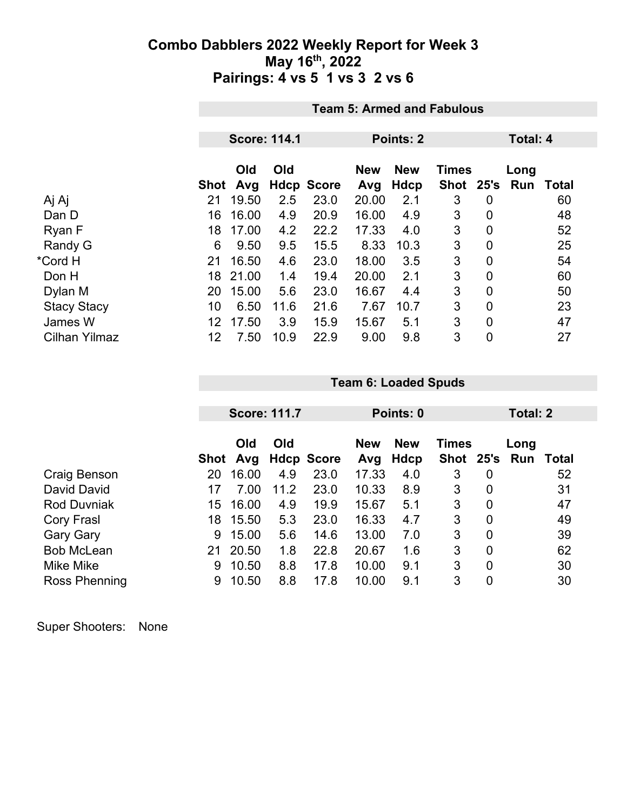|                      |      | <b>Team 5: Armed and Fabulous</b> |      |                   |            |             |              |                |      |              |  |  |
|----------------------|------|-----------------------------------|------|-------------------|------------|-------------|--------------|----------------|------|--------------|--|--|
|                      |      | <b>Score: 114.1</b><br>Points: 2  |      |                   |            |             |              |                |      |              |  |  |
|                      |      |                                   |      |                   |            |             | Total: 4     |                |      |              |  |  |
|                      |      | Old                               | Old  |                   | <b>New</b> | <b>New</b>  | <b>Times</b> |                | Long |              |  |  |
|                      | Shot | Avg                               |      | <b>Hdcp Score</b> | Avg        | <b>Hdcp</b> | Shot 25's    |                | Run  | <b>Total</b> |  |  |
| Aj Aj                | 21   | 19.50                             | 2.5  | 23.0              | 20.00      | 2.1         | 3            | 0              |      | 60           |  |  |
| Dan D                | 16   | 16.00                             | 4.9  | 20.9              | 16.00      | 4.9         | 3            | $\overline{0}$ |      | 48           |  |  |
| Ryan F               | 18   | 17.00                             | 4.2  | 22.2              | 17.33      | 4.0         | 3            | 0              |      | 52           |  |  |
| Randy G              | 6    | 9.50                              | 9.5  | 15.5              | 8.33       | 10.3        | 3            | 0              |      | 25           |  |  |
| *Cord H              | 21   | 16.50                             | 4.6  | 23.0              | 18.00      | 3.5         | 3            | 0              |      | 54           |  |  |
| Don H                | 18   | 21.00                             | 1.4  | 19.4              | 20.00      | 2.1         | 3            | 0              |      | 60           |  |  |
| Dylan M              | 20   | 15.00                             | 5.6  | 23.0              | 16.67      | 4.4         | 3            | 0              |      | 50           |  |  |
| <b>Stacy Stacy</b>   | 10   | 6.50                              | 11.6 | 21.6              | 7.67       | 10.7        | 3            | $\overline{0}$ |      | 23           |  |  |
| James W              | 12   | 17.50                             | 3.9  | 15.9              | 15.67      | 5.1         | 3            | 0              |      | 47           |  |  |
| <b>Cilhan Yilmaz</b> | 12   | 7.50                              | 10.9 | 22.9              | 9.00       | 9.8         | 3            | 0              |      | 27           |  |  |

|                    |      | <b>Score: 111.7</b> |      |                   |                   | Points: 0          |                           | Total: 2 |             |       |
|--------------------|------|---------------------|------|-------------------|-------------------|--------------------|---------------------------|----------|-------------|-------|
|                    | Shot | Old<br>Avg          | Old  | <b>Hdcp Score</b> | <b>New</b><br>Avg | <b>New</b><br>Hdcp | <b>Times</b><br>Shot 25's |          | Long<br>Run | Total |
| Craig Benson       | 20   | 16.00               | 4.9  | 23.0              | 17.33             | 4.0                | 3                         | 0        |             | 52    |
| David David        | 17   | 7.00                | 11.2 | 23.0              | 10.33             | 8.9                | 3                         | 0        |             | 31    |
| <b>Rod Duvniak</b> | 15   | 16.00               | 4.9  | 19.9              | 15.67             | 5.1                | 3                         | 0        |             | 47    |
| Cory Frasl         | 18   | 15.50               | 5.3  | 23.0              | 16.33             | 4.7                | 3                         | 0        |             | 49    |
| <b>Gary Gary</b>   | 9    | 15.00               | 5.6  | 14.6              | 13.00             | 7.0                | 3                         | 0        |             | 39    |
| <b>Bob McLean</b>  | 21   | 20.50               | 1.8  | 22.8              | 20.67             | 1.6                | 3                         | 0        |             | 62    |
| Mike Mike          | 9    | 10.50               | 8.8  | 17.8              | 10.00             | 9.1                | 3                         | 0        |             | 30    |
| Ross Phenning      | 9    | 10.50               | 8.8  | 17.8              | 10.00             | 9.1                | 3                         | 0        |             | 30    |

**Team 6: Loaded Spuds**

| <b>Super Shooters:</b> | None |
|------------------------|------|
|------------------------|------|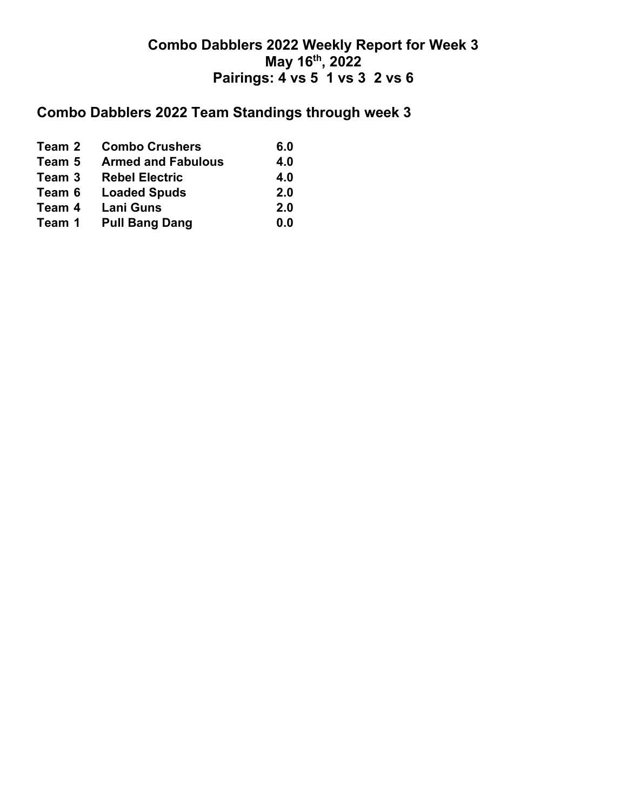# **Combo Dabblers 2022 Team Standings through week 3**

| Team 2 | <b>Combo Crushers</b>     | 6.0 |
|--------|---------------------------|-----|
| Team 5 | <b>Armed and Fabulous</b> | 4.0 |
| Team 3 | <b>Rebel Electric</b>     | 4.0 |
| Team 6 | <b>Loaded Spuds</b>       | 2.0 |
| Team 4 | <b>Lani Guns</b>          | 2.0 |
| Team 1 | <b>Pull Bang Dang</b>     | 0.0 |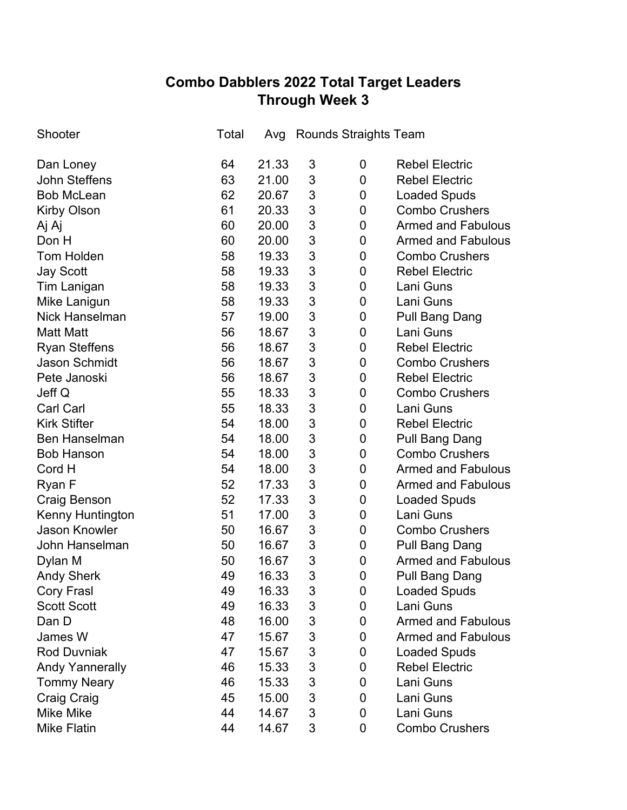## **Combo Dabblers 2022 Total Target Leaders Through Week 3**

| Shooter                 | Total | Avg   |                | <b>Rounds Straights Team</b> |                           |
|-------------------------|-------|-------|----------------|------------------------------|---------------------------|
| Dan Loney               | 64    | 21.33 | 3              | 0                            | <b>Rebel Electric</b>     |
| <b>John Steffens</b>    | 63    | 21.00 | 3              | 0                            | <b>Rebel Electric</b>     |
| <b>Bob McLean</b>       | 62    | 20.67 | 3              | 0                            | <b>Loaded Spuds</b>       |
| <b>Kirby Olson</b>      | 61    | 20.33 | 3              | 0                            | <b>Combo Crushers</b>     |
| Aj Aj                   | 60    | 20.00 | 3              | 0                            | <b>Armed and Fabulous</b> |
| Don H                   | 60    | 20.00 | 3              | 0                            | <b>Armed and Fabulous</b> |
| <b>Tom Holden</b>       | 58    | 19.33 | 3              | 0                            | <b>Combo Crushers</b>     |
| <b>Jay Scott</b>        | 58    | 19.33 | 3              | 0                            | <b>Rebel Electric</b>     |
| <b>Tim Lanigan</b>      | 58    | 19.33 | 3              | 0                            | Lani Guns                 |
| Mike Lanigun            | 58    | 19.33 | 3              | 0                            | Lani Guns                 |
| <b>Nick Hanselman</b>   | 57    | 19.00 | 3              | 0                            | <b>Pull Bang Dang</b>     |
| <b>Matt Matt</b>        | 56    | 18.67 | 3              | 0                            | Lani Guns                 |
| <b>Ryan Steffens</b>    | 56    | 18.67 | 3              | 0                            | <b>Rebel Electric</b>     |
| <b>Jason Schmidt</b>    | 56    | 18.67 | 3              | 0                            | <b>Combo Crushers</b>     |
| Pete Janoski            | 56    | 18.67 | 3              | 0                            | <b>Rebel Electric</b>     |
| Jeff Q                  | 55    | 18.33 | 3              | 0                            | <b>Combo Crushers</b>     |
| <b>Carl Carl</b>        | 55    | 18.33 | 3              | 0                            | Lani Guns                 |
| <b>Kirk Stifter</b>     | 54    | 18.00 | 3              | 0                            | <b>Rebel Electric</b>     |
| <b>Ben Hanselman</b>    | 54    | 18.00 | 3              | 0                            | <b>Pull Bang Dang</b>     |
| <b>Bob Hanson</b>       | 54    | 18.00 | 3              | 0                            | <b>Combo Crushers</b>     |
| Cord H                  | 54    | 18.00 | 3              | 0                            | <b>Armed and Fabulous</b> |
| Ryan F                  | 52    | 17.33 | 3              | 0                            | <b>Armed and Fabulous</b> |
| <b>Craig Benson</b>     | 52    | 17.33 | 3              | 0                            | <b>Loaded Spuds</b>       |
| <b>Kenny Huntington</b> | 51    | 17.00 | 3              | 0                            | Lani Guns                 |
| <b>Jason Knowler</b>    | 50    | 16.67 | 3              | 0                            | <b>Combo Crushers</b>     |
| John Hanselman          | 50    | 16.67 | 3              | 0                            | Pull Bang Dang            |
| Dylan M                 | 50    | 16.67 | $\mathfrak{S}$ | 0                            | <b>Armed and Fabulous</b> |
| <b>Andy Sherk</b>       | 49    | 16.33 | 3              | 0                            | Pull Bang Dang            |
| <b>Cory Frasl</b>       | 49    | 16.33 | 3              | 0                            | <b>Loaded Spuds</b>       |
| <b>Scott Scott</b>      | 49    | 16.33 | 3              | 0                            | Lani Guns                 |
| Dan D                   | 48    | 16.00 | 3              | 0                            | <b>Armed and Fabulous</b> |
| James W                 | 47    | 15.67 | 3              | 0                            | <b>Armed and Fabulous</b> |
| <b>Rod Duvniak</b>      | 47    | 15.67 | 3              | 0                            | <b>Loaded Spuds</b>       |
| <b>Andy Yannerally</b>  | 46    | 15.33 | 3              | 0                            | <b>Rebel Electric</b>     |
| <b>Tommy Neary</b>      | 46    | 15.33 | 3              | 0                            | Lani Guns                 |
| <b>Craig Craig</b>      | 45    | 15.00 | 3              | 0                            | Lani Guns                 |
| Mike Mike               | 44    | 14.67 | 3              | 0                            | Lani Guns                 |
| <b>Mike Flatin</b>      | 44    | 14.67 | 3              | 0                            | <b>Combo Crushers</b>     |